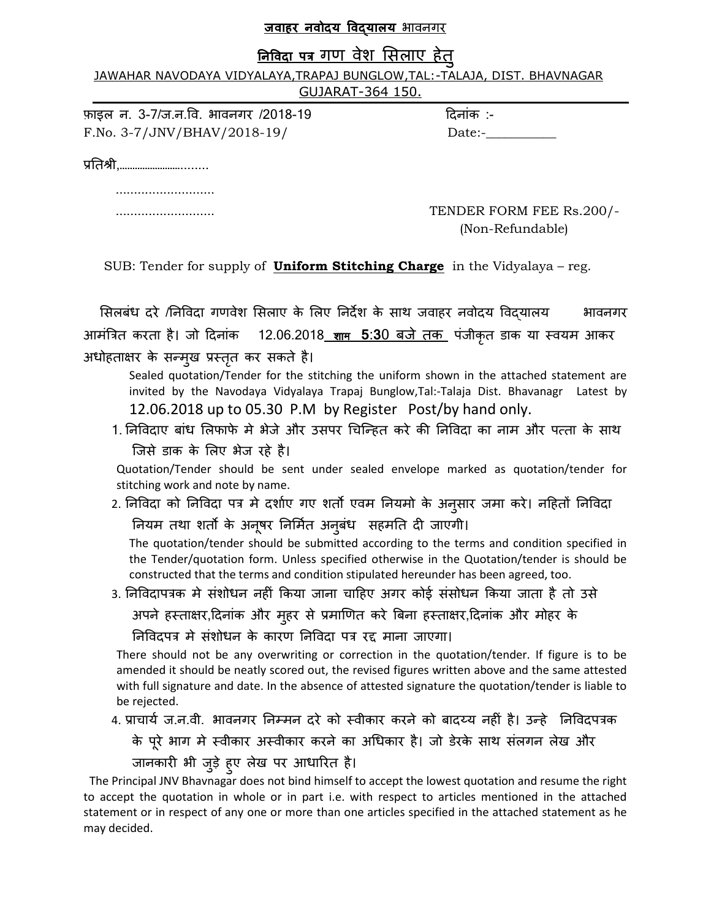#### <u>जवाहर नवोदय विदयालय भावनगर</u>

## <u>निविदा पत्र गण वेश सिलाए हेत</u>

JAWAHAR NAVODAYA VIDYALAYA, TRAPAJ BUNGLOW, TAL: - TALAJA, DIST. BHAVNAGAR GUJARAT-364 150.

फ़ाइल न. 3-7/ज.न.वि. भावनगर /2018-19 दिनांक :-F.No. 3-7/JNV/BHAV/2018-19/ Date:-\_\_\_\_\_\_\_\_\_\_\_

प्रततश्री,……………………........

...........................

 ........................... TENDER FORM FEE Rs.200/- (Non-Refundable)

SUB: Tender for supply of **Uniform Stitching Charge** in the Vidyalaya – reg.

सिलबंध दरे /निविदा गणवेश सिलाए के लिए निर्देश के साथ जवाहर नवोदय विदयालय बावनगर आमंत्रित करता है। जो दिनांक 12.06.2018 शाम 5:30 बजे तक पंजीकृत डाक या स्वयम आकर अधोहताक्षर के सन्म्ख प्रस्तृत कर सकते है।

Sealed quotation/Tender for the stitching the uniform shown in the attached statement are invited by the Navodaya Vidyalaya Trapaj Bunglow,Tal:-Talaja Dist. Bhavanagr Latest by 12.06.2018 up to 05.30 P.M by Register Post/by hand only.

1. निविदाए बांध लिफाफे मे भेजे और उसपर चिन्हित करे की निविदा का नाम और पत्ता के साथ न्जसे डाक के सरए बेज यहे है।

Quotation/Tender should be sent under sealed envelope marked as quotation/tender for stitching work and note by name.

2. निविदा को निविदा पत्र मे दर्शाए गए शर्तो एवम नियमो के अनुसार जमा करे। नहितों निविदा नियम तथा शर्तो के अनूषर निर्मित अनुबंध सहमति दी जाएगी।

The quotation/tender should be submitted according to the terms and condition specified in the Tender/quotation form. Unless specified otherwise in the Quotation/tender is should be constructed that the terms and condition stipulated hereunder has been agreed, too.

3. निविदापत्रक मे संशोधन नहीं किया जाना चाहिए अगर कोई संसोधन किया जाता है तो उसे

अपने हस्ताक्षर,दिनांक और मुहर से प्रमाणित करे बिना हस्ताक्षर,दिनांक और मोहर के

निविदपत्र मे संशोधन के कारण निविदा पत्र रद्द माना जाएगा।

There should not be any overwriting or correction in the quotation/tender. If figure is to be amended it should be neatly scored out, the revised figures written above and the same attested with full signature and date. In the absence of attested signature the quotation/tender is liable to be rejected.

4. प्राचार्य ज.न.वी. भावनगर निम्मन दरे को स्वीकार करने को बादय्य नहीं है। उन्हे निविदपत्रक

के पूरे भाग मे स्वीकार अस्वीकार करने का अधिकार है। जो डेरके साथ संलगन लेख और

जानकारी भी जुड़े हुए लेख पर आधारित है।

 The Principal JNV Bhavnagar does not bind himself to accept the lowest quotation and resume the right to accept the quotation in whole or in part i.e. with respect to articles mentioned in the attached statement or in respect of any one or more than one articles specified in the attached statement as he may decided.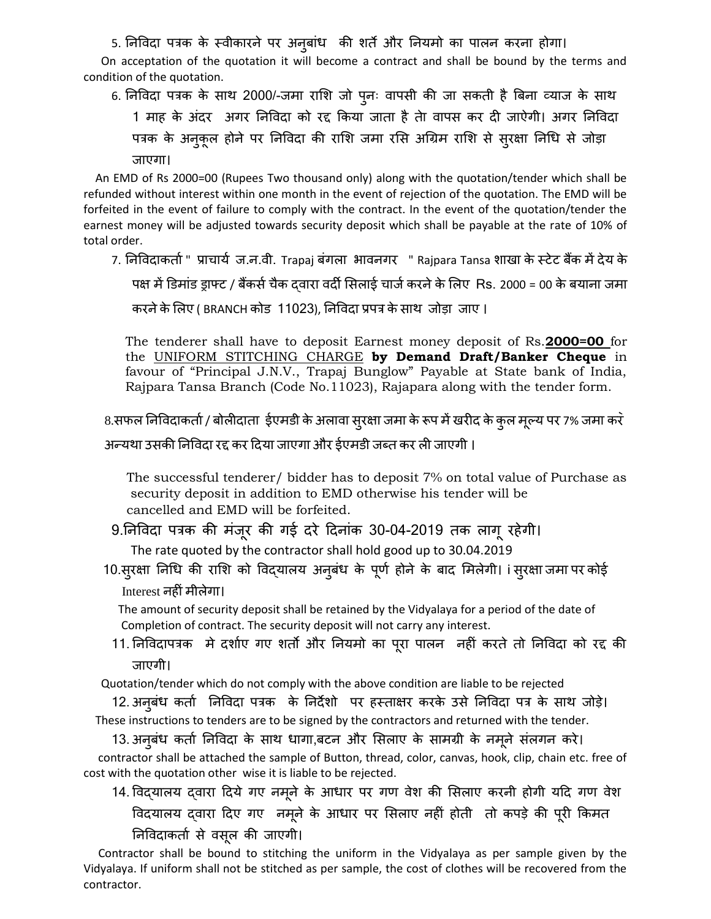5. निविदा पत्रक के स्वीकारने पर अनुबांध की शर्ते और नियमो का पालन करना होगा।

 On acceptation of the quotation it will become a contract and shall be bound by the terms and condition of the quotation.

6. निविदा पत्रक के साथ 2000/-जमा राशि जो पुनः वापसी की जा सकती है बिना व्याज के साथ

1 भाह के अांदय अगय तनववदा को यद्द ककमा जाता है तेा वाऩस कय दी जाऐगी। अगय तनववदा पत्रक के अनुकूल होने पर निविदा की राशि जमा रसि अग्रिम राशि से सुरक्षा निधि से जोड़ा जाएगा।

 An EMD of Rs 2000=00 (Rupees Two thousand only) along with the quotation/tender which shall be refunded without interest within one month in the event of rejection of the quotation. The EMD will be forfeited in the event of failure to comply with the contract. In the event of the quotation/tender the earnest money will be adjusted towards security deposit which shall be payable at the rate of 10% of total order.

7. निविदाकतो " प्राचार्य ज.न.वी. Trapaj बंगला भावनगर " Rajpara Tansa शाखा के स्टेट बैंक में देय के पक्ष में डिमांड ड्राफ्ट / बैंकर्स चैक दवारा वर्दी सिलाई चार्ज करने के लिए Rs. 2000 = 00 के बयाना जमा

करने के लिए ( BRANCH कोड़ 11023), निविदा प्रपत्र के साथ जोड़ा जाए ।

The tenderer shall have to deposit Earnest money deposit of Rs.**2000=00** for the UNIFORM STITCHING CHARGE **by Demand Draft/Banker Cheque** in favour of "Principal J.N.V., Trapaj Bunglow" Payable at State bank of India, Rajpara Tansa Branch (Code No.11023), Rajapara along with the tender form.

8.सफल निविदाकर्ता / बोलीदाता ईएमडी के अलावा सुरक्षा जमा के रूप में खरीद के कुल मूल्य पर 7% जमा करें

अन्मथा उसकी तनववदा यद्द कय ददमा जाएगा औय ईएभडी जब्त कय री जाएगी ।

 The successful tenderer/ bidder has to deposit 7% on total value of Purchase as security deposit in addition to EMD otherwise his tender will be cancelled and EMD will be forfeited.

9.निविदा पत्रक की मंजूर की गई दरे दिनांक 30-04-2019 तक लागू रहेगी।

The rate quoted by the contractor shall hold good up to 30.04.2019

10.स्**रक्षा निधि की राशि को विद्**यालय अनुबंध के पूर्ण होने के बाद मिलेगी। i स्**रक्षा जमा पर कोई** Interest नहीांभीरेगा।

 The amount of security deposit shall be retained by the Vidyalaya for a period of the date of Completion of contract. The security deposit will not carry any interest.

11. निविदापत्रक मे दर्शाए गए शर्तो और नियमो का पूरा पालन नहीं करते तो निविदा को रद्द की जाएगी।

Quotation/tender which do not comply with the above condition are liable to be rejected

12. अनुबंध कर्ता निविदा पत्रक के निर्देशो पर हस्ताक्षर करके उसे निविदा पत्र के साथ जोड़े। These instructions to tenders are to be signed by the contractors and returned with the tender.

13. अनुबंध कर्ता निविदा के साथ धागा,बटन और सिलाए के सामग्री के नमूने संलगन करे। contractor shall be attached the sample of Button, thread, color, canvas, hook, clip, chain etc. free of cost with the quotation other wise it is liable to be rejected.

14. विदयालय दवारा दिये गए नमूने के आधार पर गण वेश की सिलाए करनी होगी यदि गण वेश विदयालय द्वारा दिए गए नमूने के आधार पर सिलाए नहीं होती तो कपड़े की पूरी किमत तनववदाकताा से वसरू की जाएगी।

 Contractor shall be bound to stitching the uniform in the Vidyalaya as per sample given by the Vidyalaya. If uniform shall not be stitched as per sample, the cost of clothes will be recovered from the contractor.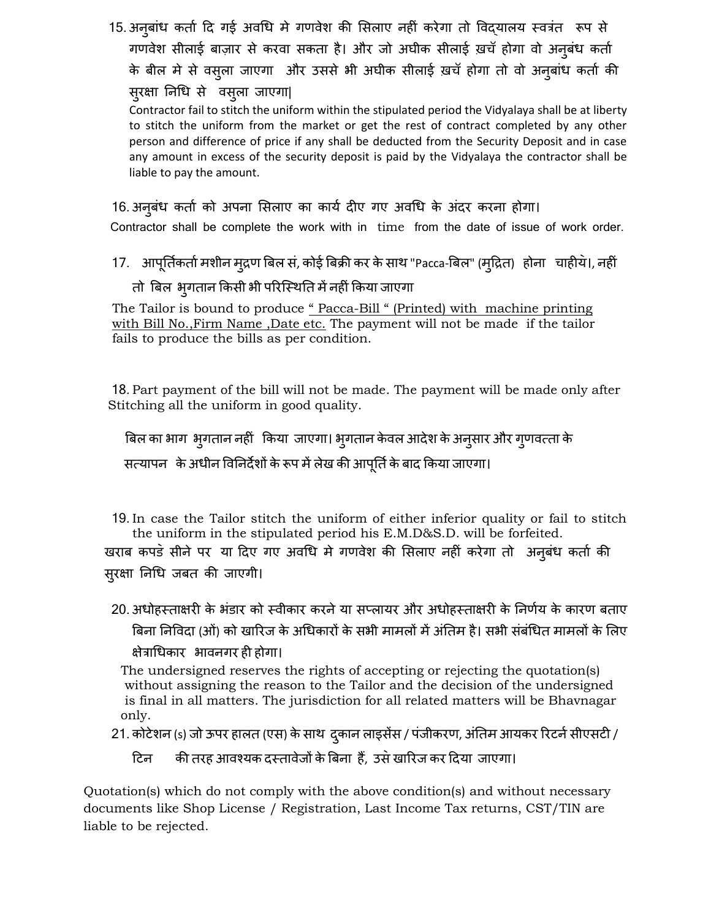15. अनुबांध कर्ता दि गई अवधि मे गणवेश की सिलाए नहीं करेगा तो विद्यालय स्वत्रंत रूप से गणवेश सीलाई बाज़ार से करवा सकता है। और जो अघीक सीलाई ख़चॅ होगा वो अनूबंध कर्ता के बील मे से वस्ला जाएगा और उससे भी अघीक सीलाई ख़चॅ होगा तो वो अन्बांध कर्ता की सुरक्षा निधि से वसूला जाएगा|

Contractor fail to stitch the uniform within the stipulated period the Vidyalaya shall be at liberty to stitch the uniform from the market or get the rest of contract completed by any other person and difference of price if any shall be deducted from the Security Deposit and in case any amount in excess of the security deposit is paid by the Vidyalaya the contractor shall be liable to pay the amount.

#### 16. अनुबंध कर्ता को अपना सिलाए का कार्य दीए गए अवधि के अंदर करना होगा।

Contractor shall be complete the work with in time from the date of issue of work order.

17. आपूर्तिकर्ता मशीन मुद्रण बिल सं, कोई बिक्री कर के साथ "Pacca-बिल" (मुद्रित) होना चाहीये।, नहीं

#### तो बिल भुगतान किसी भी परिस्थिति में नहीं किया जाएगा

The Tailor is bound to produce " Pacca-Bill " (Printed) with machine printing with Bill No.,Firm Name ,Date etc. The payment will not be made if the tailor fails to produce the bills as per condition.

18. Part payment of the bill will not be made. The payment will be made only after Stitching all the uniform in good quality.

बिल का भाग भ्गातान नहीं किया जाएगा। भ्गातान केवल आदेश के अन् सार और ग्णवत्ता के सत्यापन के अधीन विनिर्देशों के रूप में लेख की आपूर्ति के बाद किया जाएगा।

19. In case the Tailor stitch the uniform of either inferior quality or fail to stitch the uniform in the stipulated period his E.M.D&S.D. will be forfeited.

खराब कपड़े सीने पर या दिए गए अवधि मे गणवेश की सिलाए नहीं करेगा तो अनुबंध कर्ता की सुरक्षा निधि जबत की जाएगी।

20. अधोहस्ताक्षरी के भंडार को स्वीकार करने या सप्लायर और अधोहस्ताक्षरी के निर्णय के कारण बताए बिना निविदा (ओं) को खारिज के अधिकारों के सभी मामलों में अंतिम है। सभी संबंधित मामलों के लिए क्षेत्राधिकार भावनगर ही होगा।

 The undersigned reserves the rights of accepting or rejecting the quotation(s) without assigning the reason to the Tailor and the decision of the undersigned is final in all matters. The jurisdiction for all related matters will be Bhavnagar only.

21. कोटेशन (s) जो ऊपर हालत (एस) के साथ दुकान लाइसेंस / पंजीकरण, अंतिम आयकर रिटर्न सीएसटी /

टिन की तरह आवश्यक दस्तावेजों के बिना हैं, उसे खारिज कर दिया जाएगा।

Quotation(s) which do not comply with the above condition(s) and without necessary documents like Shop License / Registration, Last Income Tax returns, CST/TIN are liable to be rejected.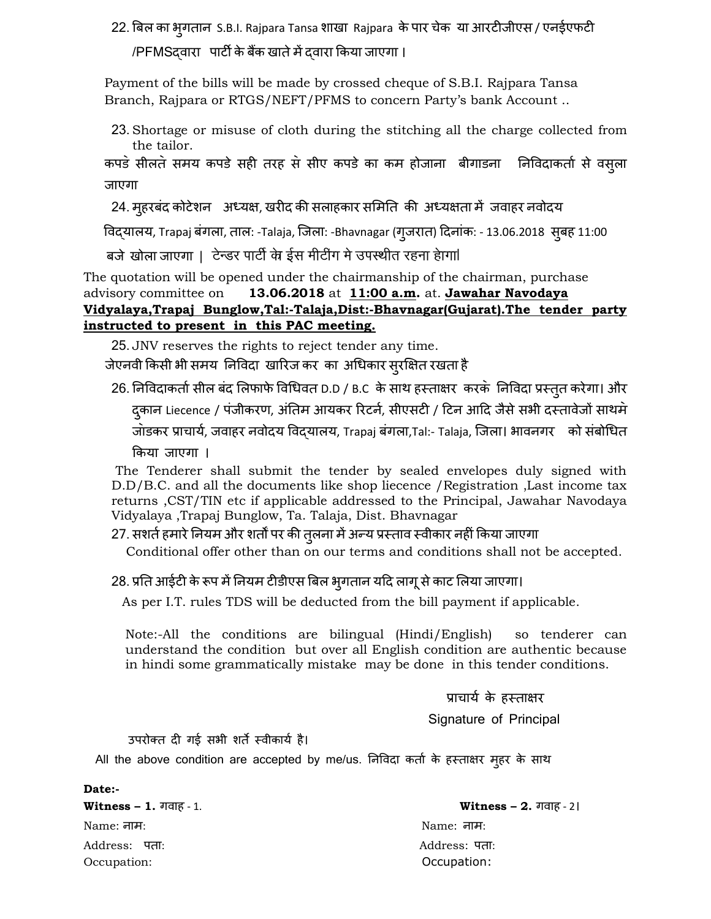22. बिल का भ्गातान S.B.I. Rajpara Tansa शाखा Rajpara के पार चेक या आरटीजीएस / एनईएफटी /PFMSद्वाया ऩाटी केफैंक खातेभेंद्वाया ककमा जाएगा ।

Payment of the bills will be made by crossed cheque of S.B.I. Rajpara Tansa Branch, Rajpara or RTGS/NEFT/PFMS to concern Party's bank Account ..

23. Shortage or misuse of cloth during the stitching all the charge collected from the tailor.

कपडे सीलते समय कपडे सही तरह से सीए कपडे का कम होजाना बीगाडना जिविदाकर्ता से वसूला जाएगा

24. मुहरबंद कोटेशन अध्यक्ष, खरीद की सलाहकार समिति की अध्यक्षता में जवाहर नवोदय

विद्यालय, Trapaj बंगला, ताल: -Talaja, जिला: -Bhavnagar (गुजरात) दिनांक: - 13.06.2018 सुबह 11:00

बजे खोला जाएगा | टेन्डर पार्टी के ईस मीटींग मे उपस्थीत रहना हेागा।

The quotation will be opened under the chairmanship of the chairman, purchase advisory committee on **13.06.2018** at **11:00 a.m.** at. **Jawahar Navodaya Vidyalaya,Trapaj Bunglow,Tal:-Talaja,Dist:-Bhavnagar(Gujarat).The tender party instructed to present in this PAC meeting.**

25. JNV reserves the rights to reject tender any time.

जेएनवी किसी भी समय निविदा खारिज कर का अधिकार स्**रक्षित रखता** है

26. निविदाकर्ता सील बंद लिफाफे विधिवत D.D / B.C के साथ हस्ताक्षर करके निविदा प्रस्तुत करेगा। और द्कान Liecence / पंजीकरण, अंतिम आयकर रिटर्न, सीएसटी / टिन आदि जैसे सभी दस्तावेजों साथमे जोडकर प्राचार्य, जवाहर नवोदय विद्यालय, Trapaj बंगला,Tal:- Talaja, जिला। भावनगर को संबोधित

किया जाएगा ।

The Tenderer shall submit the tender by sealed envelopes duly signed with D.D/B.C. and all the documents like shop liecence /Registration ,Last income tax returns ,CST/TIN etc if applicable addressed to the Principal, Jawahar Navodaya Vidyalaya ,Trapaj Bunglow, Ta. Talaja, Dist. Bhavnagar

27. सशर्त हमारे नियम और शर्तों पर की तुलना में अन्य प्रस्ताव स्वीकार नहीं किया जाएगा

Conditional offer other than on our terms and conditions shall not be accepted.

28. प्रति आईटी के रूप में नियम टीडीएस बिल भ्गतान यदि लागू से काट लिया जाएगा।

As per I.T. rules TDS will be deducted from the bill payment if applicable.

Note:-All the conditions are bilingual (Hindi/English) so tenderer can understand the condition but over all English condition are authentic because in hindi some grammatically mistake may be done in this tender conditions.

प्राचार्य के हस्ताक्षर

Signature of Principal

उपरोक्त दी गई सभी शर्ते स्वीकार्य है।

All the above condition are accepted by me/us. निविदा कर्ता के हस्ताक्षर मुहर के साथ

**Date:-** Name: नाभ: Name: नाभ: Address: ऩता: Address: ऩता: Occupation: Occupation:

**Witness – 1.** गवाह - 1. **Witness – 2.** गवाह - 2।